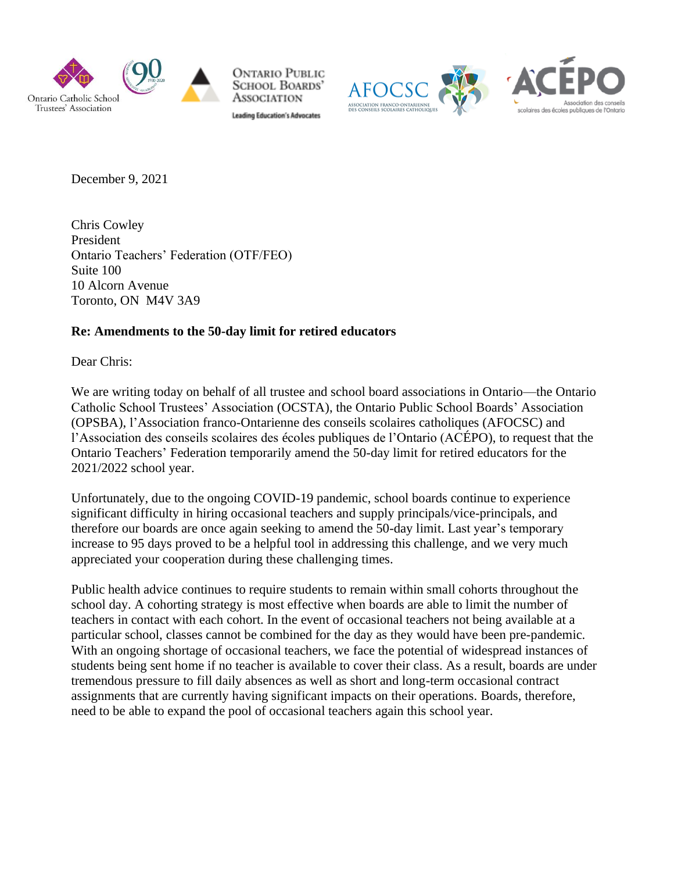

**ONTARIO PUBLIC SCHOOL BOARDS'** Association **Leading Education's Advocates** 



December 9, 2021

Chris Cowley President Ontario Teachers' Federation (OTF/FEO) Suite 100 10 Alcorn Avenue Toronto, ON M4V 3A9

## **Re: Amendments to the 50-day limit for retired educators**

Dear Chris:

We are writing today on behalf of all trustee and school board associations in Ontario—the Ontario Catholic School Trustees' Association (OCSTA), the Ontario Public School Boards' Association (OPSBA), l'Association franco-Ontarienne des conseils scolaires catholiques (AFOCSC) and l'Association des conseils scolaires des écoles publiques de l'Ontario (ACÉPO), to request that the Ontario Teachers' Federation temporarily amend the 50-day limit for retired educators for the 2021/2022 school year.

Unfortunately, due to the ongoing COVID-19 pandemic, school boards continue to experience significant difficulty in hiring occasional teachers and supply principals/vice-principals, and therefore our boards are once again seeking to amend the 50-day limit. Last year's temporary increase to 95 days proved to be a helpful tool in addressing this challenge, and we very much appreciated your cooperation during these challenging times.

Public health advice continues to require students to remain within small cohorts throughout the school day. A cohorting strategy is most effective when boards are able to limit the number of teachers in contact with each cohort. In the event of occasional teachers not being available at a particular school, classes cannot be combined for the day as they would have been pre-pandemic. With an ongoing shortage of occasional teachers, we face the potential of widespread instances of students being sent home if no teacher is available to cover their class. As a result, boards are under tremendous pressure to fill daily absences as well as short and long-term occasional contract assignments that are currently having significant impacts on their operations. Boards, therefore, need to be able to expand the pool of occasional teachers again this school year.